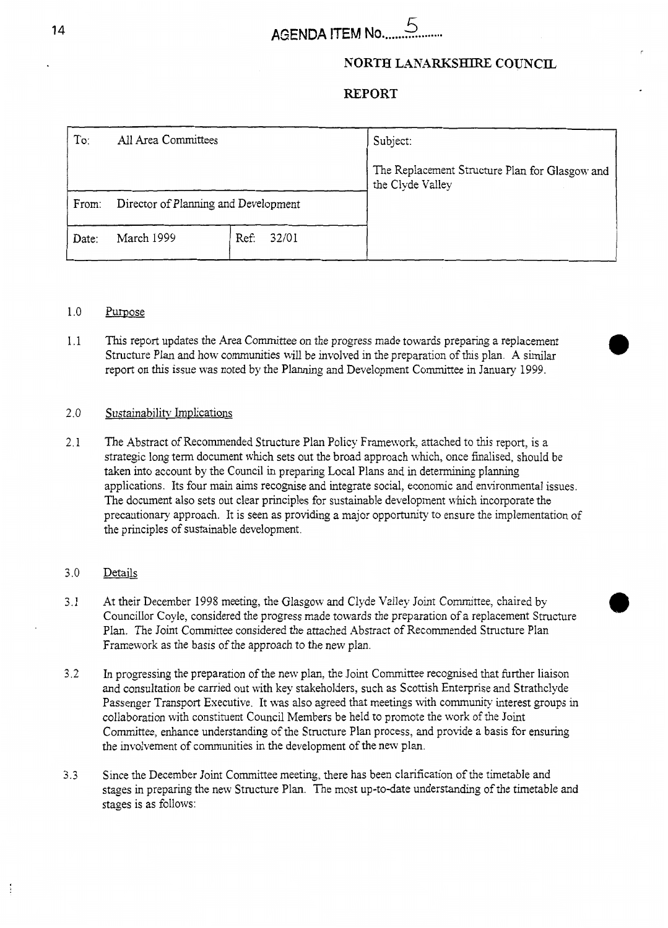### **NORTH LANARKSHIRE COUNCIL**

### **REPORT**

| To:   | All Area Committees                  |               | Subject:                                                           |
|-------|--------------------------------------|---------------|--------------------------------------------------------------------|
|       |                                      |               | The Replacement Structure Plan for Glasgow and<br>the Clyde Valley |
| From: | Director of Planning and Development |               |                                                                    |
| Date: | March 1999                           | Ref:<br>32/01 |                                                                    |

#### 1 .o Purpose

1.1 This report updates the Area Committee on the progress made towards preparing a replacement Structure Plan and how communities will be involved in the preparation of this plan. **A** similar report on this issue was noted by the Planning and Development Committee in January 1999.

#### 2.0 Sustainabilitv Implications

2.1 The Abstract of Recommended Structure Plan Policy Framexork, attached to this report, is a strategic long term document which sets out the broad approach which, once finalised, should be taken into account by the Council in preparing Local Plans and in determining planning applications. Its four main aims recognise and integrate social, economic and environmental issues. The document also sets out clear principles for sustainable development which incorporate the precautionary approach. It is seen as providing a major opportunity to ensure the implementation of the principles of sustainable development.

#### 3.0 Details

Í,

- 3.1 At their December 1998 meeting, the Glasgow and Clyde Valley Joint Committee, chaired by Councillor Coyle, considered the progress made towards the preparation of a replacement Structure Plan. The Joint Committee considered the attached Abstract of Recommended Structure Plan Framework as the basis of the approach to the new plan.
- **3.2**  In progressing the preparation of the new plan, the Joint Committee recogmsed that further liaison and consultation be carried out with key stakeholders, such as Scottish Enterprise and Strathclyde Passenger Transport Executive. It was also agreed that meetings with community interest groups in collaboration with constituent Council Members be held to promote the work of the Joint Committee, enhance understanding of the Structure Plan process, and provide a basis for ensuring the involvement of communities in the development of the new plan.
- 3.3 Since the December Joint Committee meeting, there has been clarification of the timetable and stages in preparing the new Structure Plan. The most up-to-date understanding of the timetable and stages is as follows: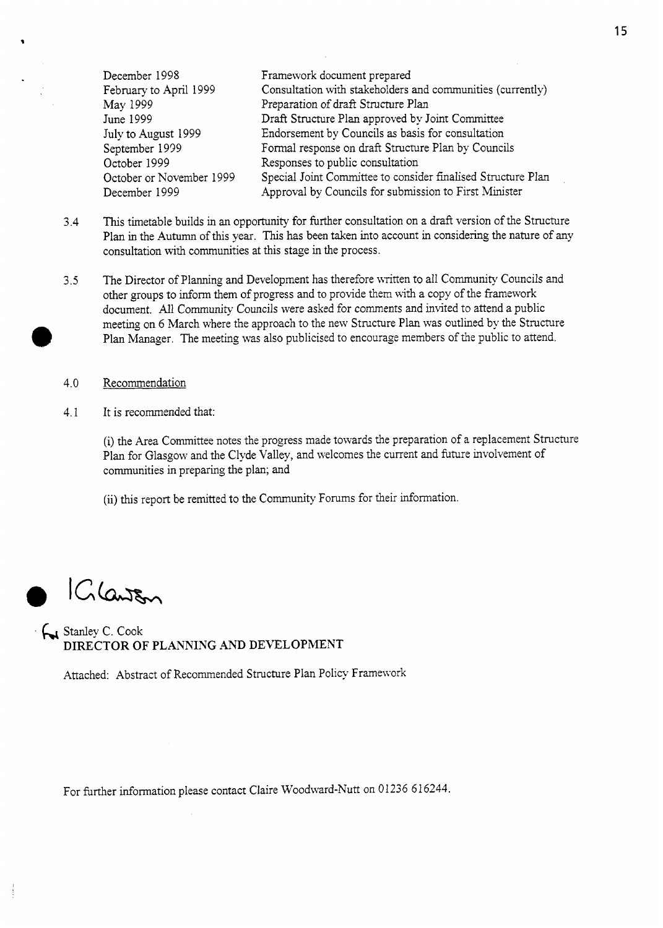December 1998 February to April 1999 May 1999 June 1999 July to August 1999 September 1939 October 1999 October or November 1999 December 1999 Framework document prepared Consultation with stakeholders and communities (currently) Preparation of draft Structure Plan Draft Structure Plan approved by Joint Committee Endorsement by Councils as basis for consultation Formal response on draft Structure Plan by Councils Responses to public consultation Special Joint Committee to consider finalised Structure Plan Approval by Councils for submission to First Minister

- 3.4 This timetable builds in an opportunity for further consultation on a draft version of the Structure Plan in the Autumn of this year. This has been taken into account in considering the nature of any consultation with communities at this stage in the process.
- *3.5* The Director of Planning and Development has therefore written to all Community Councils and other groups to inform them of progress and to provide them with a copy of the framework document. All Community Councils were asked for comments and invited to attend a public meeting on 6 March where the approach to the new Structure Plan was outlined by the Structure Plan Manager. The meeting was also publicised to encourage members of the public to attend.
- 4.0 Recommendation
- 4.1 It is recommended that:

(i) the Area Committee notes the progress made towards the preparation of a replacement Structure Plan for Glasgow and the Clyde Valley, and welcomes the current and future involvement of communities in preparing the plan; and

(ii) this report be remitted to the Community Forums for their mformation.

Clanson

 $\begin{bmatrix} 1 \\ 1 \\ 2 \end{bmatrix}$ 

Stanley C. Cook **DIRECTOR** OF **PLANNING AND DEVELOPMENT** 

Attached: Abstract of Recommended Structure Plan Policy Framework

For further information please contact Claire Woodward-Nutt on 01236 616244.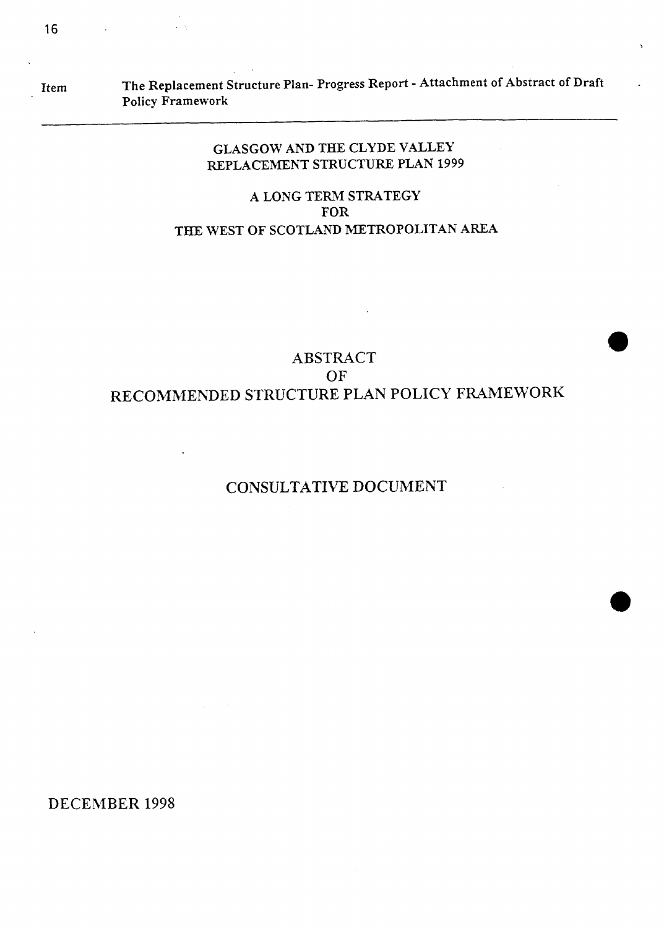# Item **The Replacement Structure Plan- Progress Report** - **Attachment of Abstract of Draft Policy Framework**

**1** 

# **GLASGOW AND THE CLYDE VALLEY REPLACEMENT STRUCTURE PLAN 1999**

## **A LONG TERM STRATEGY FOR THE WEST OF SCOTLAND METROPOLITAN AREA**

# **ABSTRACT OF RECOMMENDED STRUCTURE PLAN POLICY FRAMEWORK**

# **CONSULTATIVE DOCUMENT**

DECEMBER 1998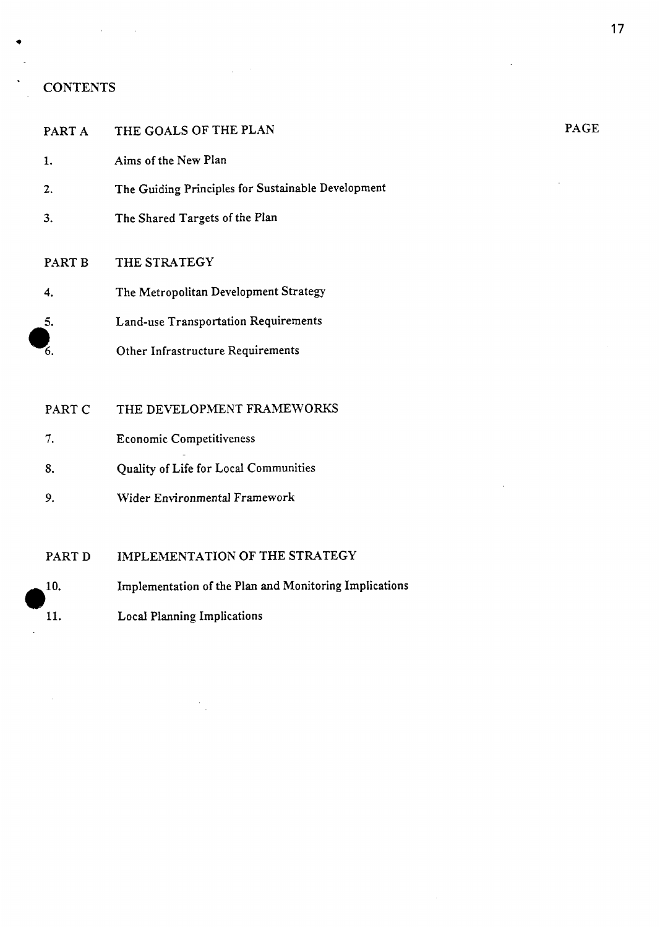### \* **CONTENTS**

| PART A | THE GOALS OF THE PLAN                              |
|--------|----------------------------------------------------|
| 1.     | Aims of the New Plan                               |
| 2.     | The Guiding Principles for Sustainable Development |
| 3.     | The Shared Targets of the Plan                     |
| PART B | THE STRATEGY                                       |
| 4.     | The Metropolitan Development Strategy              |
| 5.     | Land-use Transportation Requirements               |
| 6.     | Other Infrastructure Requirements                  |
|        |                                                    |

PART C THE DEVELOPMENT FRAMEWORKS

- *7.* Economic Competitiveness
- **8.**  Quality of Life for Local Communities
- *9.* **Wider** Environmental Framework

PART D IMPLEMENTATION OF THE STRATEGY

- Implementation **of** the Plan and Monitoring Implications 10.
- Local Planning Implications **.,Os 11.**

PAGE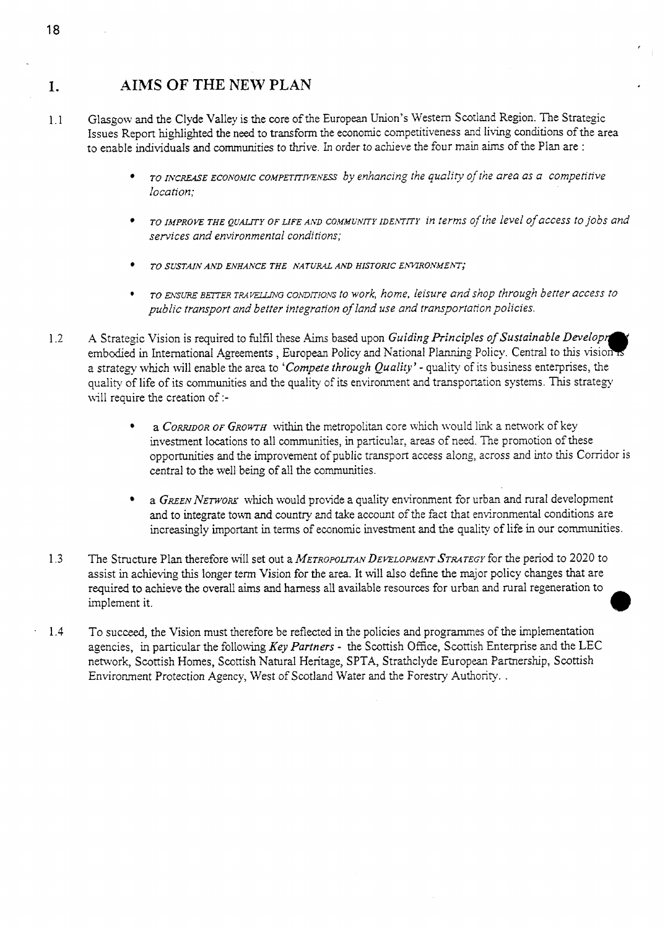# **1. AIMS OF THE NEW PLAN**

- 1.1 Glasgow and the Clyde Valley is the core of the European Union's Western Scotland Region. The Strategic Issues Report highlighted the need to transform the economic competitiveness and living conditions of the area to enable individuals and communities to thrive. In order to achieve the four main aims of the Plan are :
	- $TO$  *INCREASE ECONOMIC COMPETITIVENESS* by enhancing the quality of the area as a competitive *location:*
	- *TO xhipRovE THE QUALITY OF LIFE AND COMMUNITY rDEmm in terms of the level of access to jobs and services and environmental conditions;*

,

- *TO SUSTAIN Ah'D ENHANCE THE NATLJR4.L Ah'D HISTORIC EhWRONMEhT;*
- \* *TO msm BEITER TRAWG commo.vs to work, home, leisure andshop through better access to public transport and better integration of land use and transportation policies.*
- 1.2 A Strategic Vision is required to fulfil these Aims based upon *Guiding Principles of Sustainable Developm*<br>embodied in International Agreements, European Policy and National Planning Policy. Central to this vision is a strategy which will enable the area to *'Compete through Quality'* - quality of its business enterprises, the quality of life of its communities and the quality of its environment and transportation systems. This strategy will require the creation of :
	- a *CORRIDOR OF GROWTH* within the metropolitan core which would link a network of key investment locations to all communities, in particular, areas of need. The promotion of these opportunities and the improvement of public transport access along, across and into this Corridor is central to the well being of all the communities.
	- a GREEN NETWORK which would provide a quality environment for urban and rural development and to integrate town **and** country and take account of the fact that environmental conditions are increasingly important in terms of economic investment and the quality of life in our communities.
- 1.3 The Structure Plan therefore will set out a *METROPOLITAN DEVELOPMENT STRATEGY* for the period to 2020 to assist in achieving this longer term Vision for the area. It will also define the major policy changes that are required to achieve the overall aims and harness all available resources for urban and rural regeneration to implement it.
- 1.4 To succeed, the Vision must therefore be reflected in the policies and programmes of the implementation agencies, in particular the following *Key Partners* - the Scottish **Office,** Scottish Enterprise and the LEC network, Scottish Homes, Scottish Natural Heritage, SPTA, Strathclyde European Partnership, Scottish Environment Protection Agency, West of Scotland Water and the Forestry Authority. .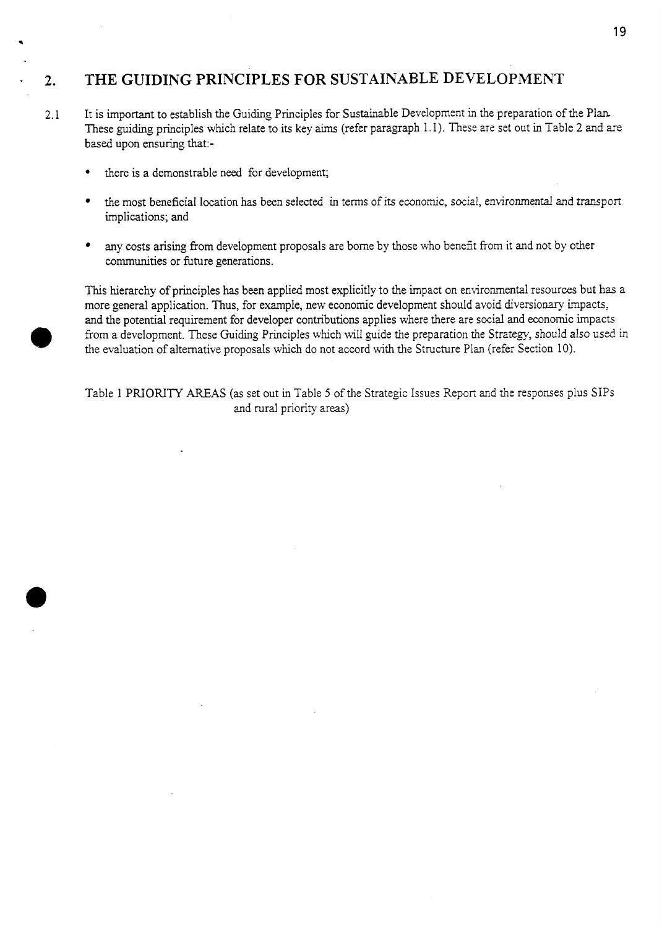# - **2. THE GUIDING PRINCIPLES FOR SUSTAINABLE DEVELOPMENT**

- 2.1 It is important to establish the Guiding Principles for Sustainable Development in the preparation of the Plan-These guiding principles which relate to its key aims (refer paragraph 1.1). These are set out in [Table 2](#page-6-0) and are based upon ensuring that:
	- there is a demonstrable need for development;
	- the most beneficial location has been selected in terms of its economic, social, environmental **and** transport  $\bullet$ implications; and
	- any costs arising from development proposals are borne by those who benefit from it and not by other communities or future generations.

This hierarchy of principles has been applied most explicitly to the impact on environmental resources but has a more general application. Thus, for example, new economic development should avoid diversionary impacts, and the potential requirement for developer contributions applies where there are social and economic impacts from a development. These Guiding Principles which will guide the preparation the Strategy, should also used in the evaluation of alternative proposals which do not accord with the Structure Plan (refer Section 10).

Table 1 **PRIORITY** AREAS (as set out in Table 5 of the Strategic Issues Repori and the responses plus SIPS and rural priority areas)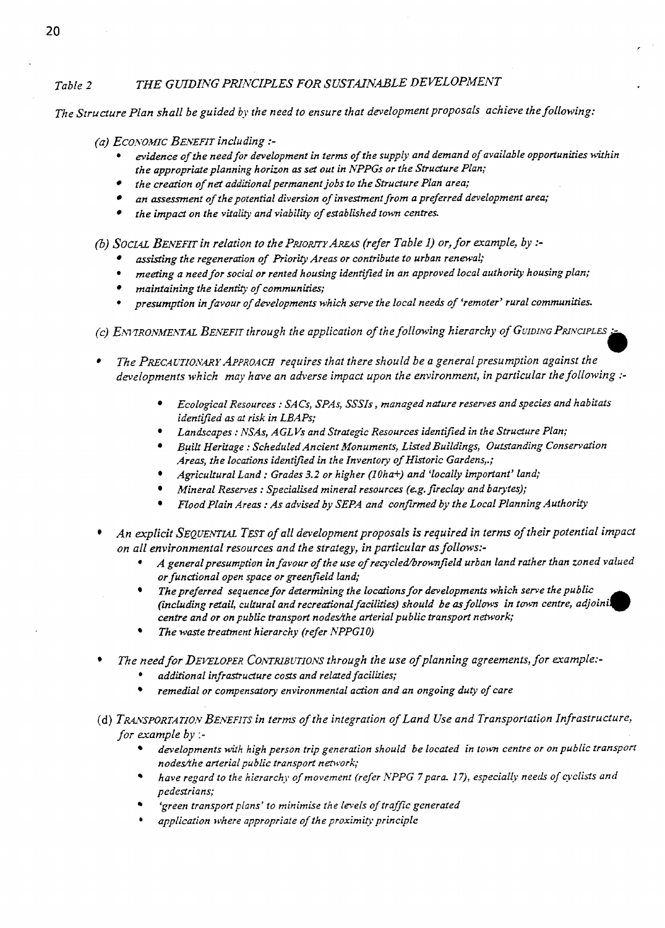### <span id="page-6-0"></span>Table 2 THE GUIDING PRINCIPLES FOR SUSTAINABLE DEVELOPMENT

*The Structure Plan shall be guided by the need to ensure that development proposals achieve the following:* 

*(a) Ecor\.oMrc BENEFIT including* :-

- <sup>e</sup>*evidence of the needfor development in term of the supply and demand of available opportunities within the appropriate planning horizon* **as set** *out in NPPGs or the Structure Plan;*
- *the creation of net additional permanent jobs to the Structure Plan area;*
- *an assessment of thepotential diversion of investment from a preferred development area;*
- *the impact on the vitality and viability of established town centres.*

(21) *SOCLQL BENEFZT in relation to the PRIORITY AREAS (reJer Table 1) or, for example, by* :-

- assisting the regeneration of Priority Areas or contribute to urban renewal;
- **9**  *meeting a need for social or rented housing identiijied in an approved local authority housingplan;*
- *maintaining the identity of communities;*
- **9**  *presumption in favour of developmentci which serve the local needs of 'remoter' rural communities.*

*(c) ENVIRONMENTAL BENEFIT through the application of the following hierarchy of GUIDING PRINCIPLES*:

- The PRECAUTIONARY APPROACH requires that there should be a general presumption against the developments which may have an adverse impact upon the environment, in particular the following :-
	- *Ecological Resources* : *SACS, SPAS, SSSIs* , *managed nature reserves and species and habitats identified as at risk in LBAPs;*
	- *Landscapes* : *NSAs, AGLVs and Strategic Resources identified in the Strudure Plan;*
	- *Built Heritage* : *Scheduled Ancient Monuments, Listed Buildings, OuLrtanding Consendon Areas, the localions identified in the Inventov of Historic Gardens,.;*
	- *Agricultural Land* : *Grades 3.2 or higher (lUha+) and 'locally important' land;*
	- *Mineral Reserves* : *Specialised mineral resources (eg.fireclay and barytes);*
	- *Flood Plain Areas* : *As advised by SEPA and confirmed by the Local Planning Authority*
- *An explicit SEQUEN~WL TBT ofall development proposals is required in terms of their potential impact on all environmental resources and the strategy, in particular as follows:-* 
	- A general presumption in favour of the use of recycled/brownfield urban land rather than zoned valued *or functional open space or greenfleld land;*  \*
	- *The preferred sequence for determining the locations for developments which serve the public (including retail, cultural and recreational facilities) should be os follows in town centre, adjoini. centre and or on public transport nodedhe arterial public transport network;*
	- *The waste treatment hierarchy (refer NPPGlO)*
- *The need for DE~LOPER CONTRIBUTIONS through the use of planning agreements, for example:-*  . *additional infrrrstrudure costs and relded facilities;* 
	-
	- *remedial or compensatory environmental action and an ongoing duty of care*
- (d) TRANSPORTATION BENEFITS in terms of the integration of Land Use and Transportation Infrastructure, *for example by* :
	- *developments with high person trip generation should be located in town centre or on public transport nodes/the arterial public transport network;*
	- *have regard to the hierarchy of movement (refer NPPG 7 para. 17), especially needs of cyclists and pedestrians;*
	- 'green transport plans' to minimise the levels of traffic generated
	- *application where appropriale of the proximip principle*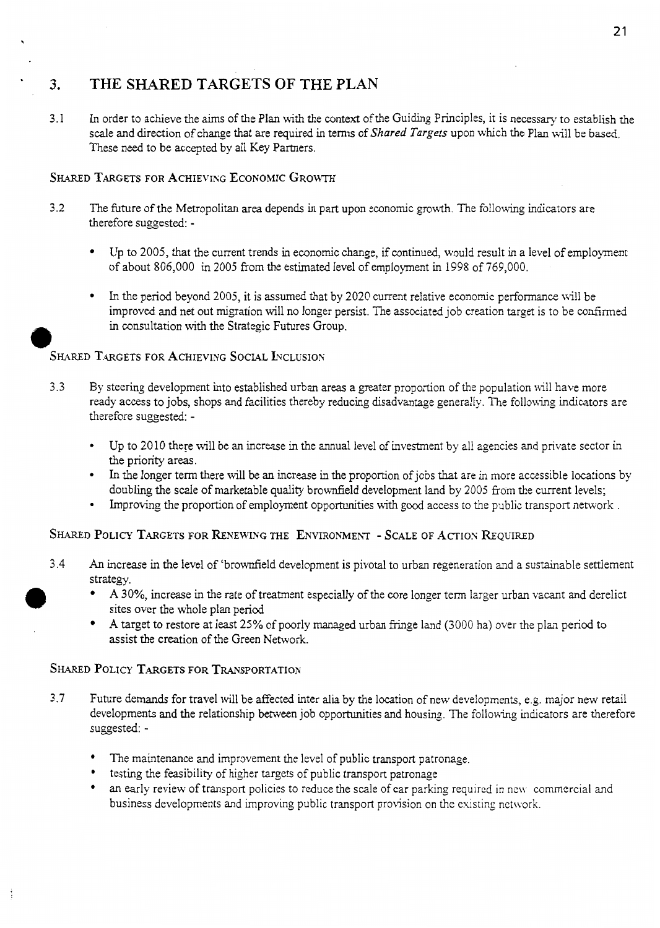# 3. THE SHARED TARGETS OF THE PLAN

3.1 In order to achieve the aims of the Plan with the context of the Guiding Principles, it is necessary to establish the scale and direction of change that are required in terms of *Shared Targets* upon whch the Plan will be based. These need to be accepted by all Key Partners.

### SHARED TARGETS FOR ACHIEVING ECONOMIC GROWTH

- 3.2 The future of the Metropolitan area depends in part upon economic growth. The following indicators are therefore suggested: -
	- Up to 2005, that the current trends in economic change, if continued, would result in a level of employment of about 806,000 in 2005 from the estimated level of employment in 1998 of 769,000.
	- In the period beyond 2005, it is assumed that by 2020 current relative economic performance will be improved and net out migration will no longer persist. The associated job creation target is to be **confirmed**  in consultation with the Strategic Futures Group.

### SHARED TARGETS FOR **ACHIEVING** SOCIAL INCLUSION

- 3.3 By steering development into established urban areas a greater proportion of the population nil1 have more ready access to jobs, shops and facilities thereby reducing disadvantage generally. The following indicators are therefore suggested: -
	- Up to 2010 there will be an increase in the annual level of investment by all agencies and private sector in the priority areas.
	- In the longer term there will be an increase in the proportion of jobs that are in more accessible locations by doubling the scale of marketable quality brownfield development land by 2005 from the current levels;
	- Improving the proportion of employment opportunities with good access to the public transport network.

### SHARED POLICY TARGETS **FOR** RENEWING THE ENVIRONMEhT - SCALE OF **ACTIOS** REQUIRED

- **3.4** *An* increase in the level of 'brownfield development is pivotal to urban regeneration and a sustainable settlement strategy. *0* 
	- **A** 30%, increase in the rate of treatment especially of the core longer term larger urban vacant and derelict sites over the whole plan period
	- **A** target to restore at least 25% of poorly *managed* urban fringe land (3000 ha) over the plan period to assist the creation of the Green Network.

### SHARED POLICY TARGETS FOR TRANSPORTATION

- **3.7** Future demands for travel will be affected inter alia by the location of new developments, e.g. major new retail developments and the relationship between job opportunities and housing. The following indicators are therefore suggested: -
	- The maintenance and improvement the level of public transport patronage.
	- testing the feasibility of higher targets of public transport patronage
	- an early review of transport policies to reduce the scale of car parking required in new commercial and business developments and improving public transport provision on the existing network.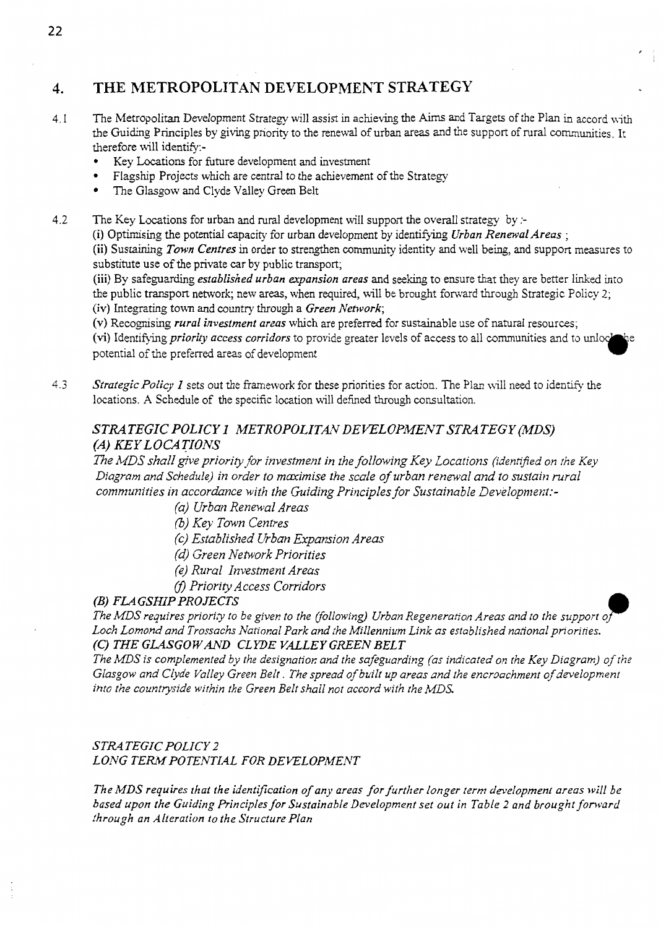### **4. THE METROPOLITAN DEVELOPMENT STRATEGY**

- **4.** I The Metropolitan Development Strategy will assist in achieving the Aims and Targets of the Plan in accord with the Guiding Principles by giving priority to the renewal of urban areas **and** the support of rural communities. It therefore will identify:-
	- Key Locations for future development and investment
	- Flagship Projects which are central to the achievement of the Strategy
	- The Glasgow and Clyde Valley Green Belt
- **4.2**  The Key Locations for urban and rural development will support the overall strategy by :-

**(i)** Optimising the potential capacity for urban development by identifjmg *Urban Renewal Areas* ;

**(ii)** Sustaining *Town Centres* in order to strengthen community identity and well being, and support measures to substitute use of the private car by public transport;

**(iii)** By safeguarding *established urban expansion areas* and seeking to ensure that they are better *linked* into the public transport network; new areas, when required, will be brought forward through Strategic Policy 2; **(iv)** Integrating town and country **through** a *Green Network;* 

(v) Recognising *rural investment areas* which are preferred for sustainable use of natural resources;

potential of the preferred areas of development (vi) Identifying *priority access corridors* to provide greater levels of access to all communities and to unloc

**4.3**  *Strategic Policy I* sets out the framework for these priorities for action. The Plan will need to identify the locations. **A** Schedule of the specific location will defined through consultation.

### *STRATEGIC POLICY I METROPOLITAN DEVELOPMENTSTRATEGY (MDS) (A) KEY LOCATIONS*

*ne MDS shall give priority for investment in the following Key Locations (ideniiyed on the Key Diagram and Schedule) in order to maximise the scale of urban renewal and to sustain rural comniunities in accordance with the Guiding Principles for Sustainable Development:-* 

*(a) Urban Renewal Areas* 

(3) *Key Town Centres* 

*(c) Established Urban Expansion Areas* 

(4 *Green Network Priorities* 

- *(e) Rural Investment Areas*
- fl *Priority Access Corridors*

*The MDS requires priority to be given to the (following) Urban Regeneration Areas and to the support of Loch Lomond and Trossachs National Park and the Millennium Link as established national priorities. (C) THE GLASGOW AND CLYDE VALLEY GREEN BELT* 

*The MDS is complemented by the designation and the safeguarding (as indicated on the Key Diagram) of the Glasgow and Clyde Valley Green Belt. The spread of built up areas and the encroachment of development into the countryside withjn the Green Belt shall not accord with the MDS* 

### *STRATEGIC POLICY 2 LONG TERM POTENTIAL FOR DEVELOPMEhrT*

*The MDS requires that the identification of an)! areas for further longer term development areas will be based upon the Guiding Principles for Sustainable Development set out in [Table](#page-6-0)* **2** *and brought fonvard through an Alteration to the Structure Plan*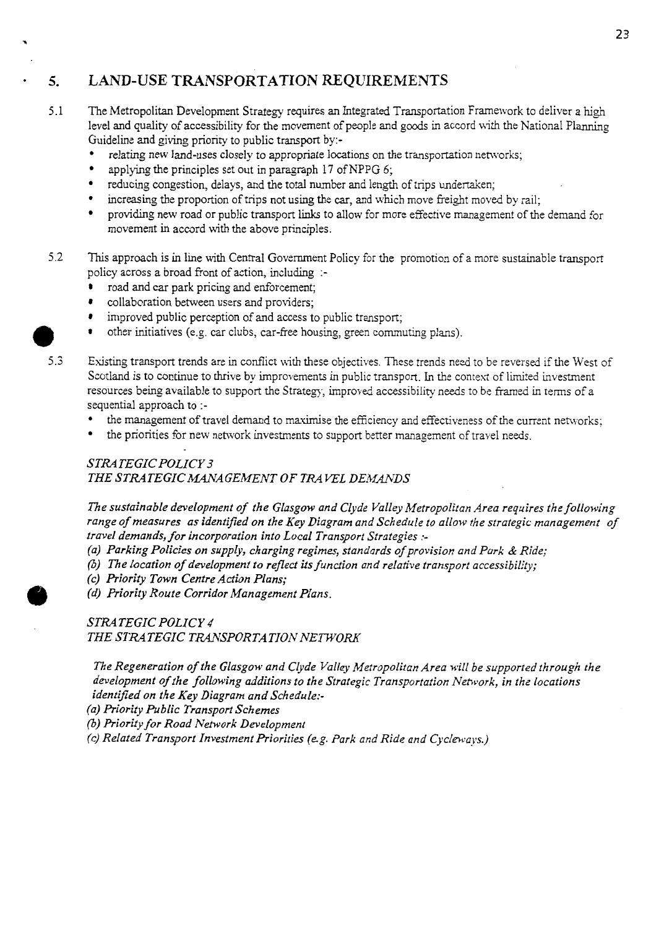# **5. LAND-USE TRANSPORTATION REQUIREMENTS**

- 5.1 The Metropolitan Development Strategy requires an lntegrated Transportation Framework to deliver a **high**  level and quality of accessibility for the movement of people and goods in accord with the National Planning
	- Guideline and giving priority to public transport by:-<br>
	 relating new land-uses closely to appropriate locations on the transportation networks;<br>
	 applying the principles set out in paragraph 17 of NPPG 6:
	- applying the principles set out in paragraph 17 of NPPG 6;
	- reducing congestion, delays, and the total number and length of trips undertaken;
	- increasing the proportion of trips not using the *car,* and which move freight moved by rail;
	- providing new road or public transport links to allow for more effective management of the demand for movement in accord with the above principles.
- **5.2** This approach is in line with Central Government Policy for the promotion of a more sustainable transport policy across a broad front of action, including :
	- road and car park pricing and enforcement;  $\bullet$
	- $\bullet$ collaboration between users and providers;
	- improved public perception of and access to public transport;
- improved public perception of and access to public transport;<br>
 other initiatives (e.g. car clubs, car-free housing, green commuting plans).<br>
5.3 Existing transport trends are in conflict with these objectives. These tr
	- Existing transport trends are in conflict with these objectives. These trends need to be reversed if the West of Scotland is to continue to thrive by improvements in public transport. In the context of limited investment resources being available to support the Strategy, improved accessibility needs to be framed in terms of a sequential approach to :
		- **<sup>a</sup>**the management of travel demand to maximise the efficiency and effectiveness of the current networks;
		- the priorities for new network investments to support better management of travel needs.

### *STRATEGIC POLICY 3*  **THE STRATEGIC MANAGEMENT OF TRAVEL DEMANDS**

*The sustainable development of the Glasgow and Clyde Valley Metropolitan Area requires the following range of measures as identified on the Key Diagram and Schedule to allow the strategic management of travel demands, for incorporation into Local Transport Strategies* :-

- *(a) Parking Policies on supply, charging regimes, standards of provision and Park* & *Ride;*
- (b) *The location of development to reflect its function and relative transport accessibility;*
- *(e) Priority Town Centre Action Plans;*
- *(d) Priority Route Corridor Management Plans.*

*STRATEGIC POLICY 4 THE STRATEGIC TRANSPORTATION NEWORK* 

*The Regeneration of the Glasgow and Clyde Valley Metropolitan Area will be supported through the development of the following additions to the Strategic Transportation Network, in the locations identified on the Key Diagram and Schedule:-* 

*(a) Priority Public Transport Schemes* 

(3) *Priority for Road Network Development* 

*(c) Related Transport Investment Priorities (eg. Park and Ride and Cycleways.)* 

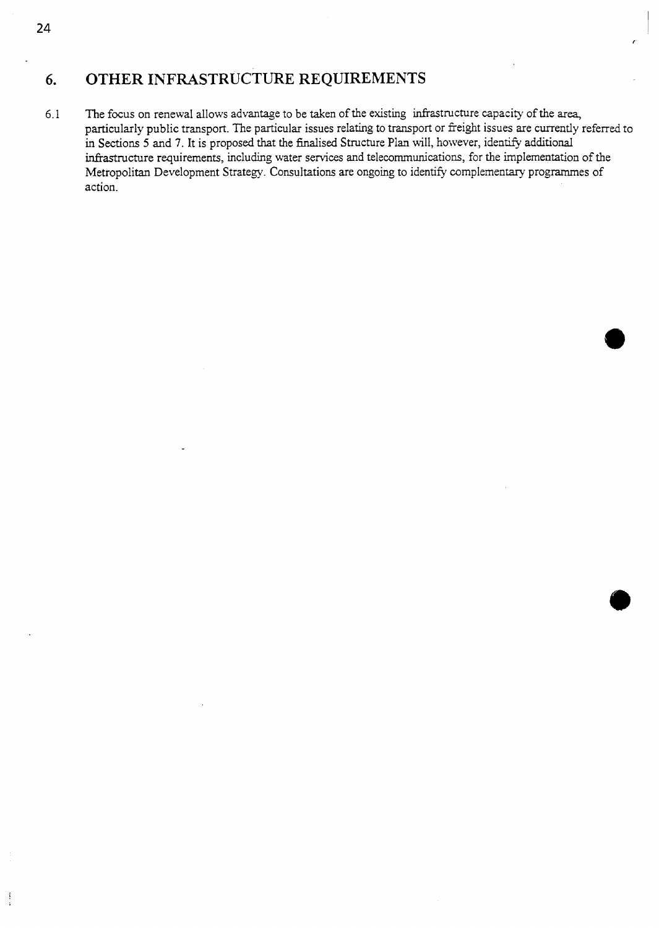# **6. OTHER INFRASTRUCTURE REQUIREMENTS**

6.1 The focus on renewal allows advantage to be taken of the existing infrastructure capacity of the **area,**  particularly public transport. The particular issues relating to transport or freight issues are currently referred to in Sections 5 and 7. It is proposed that the finalised Structure Plan will, however, identify additional infrastructure requirements, includmg water services **and** telecommunications, for the implementation of the Metropolitan Development Strategy. Consultations are ongoing to identify complementary programmes of action.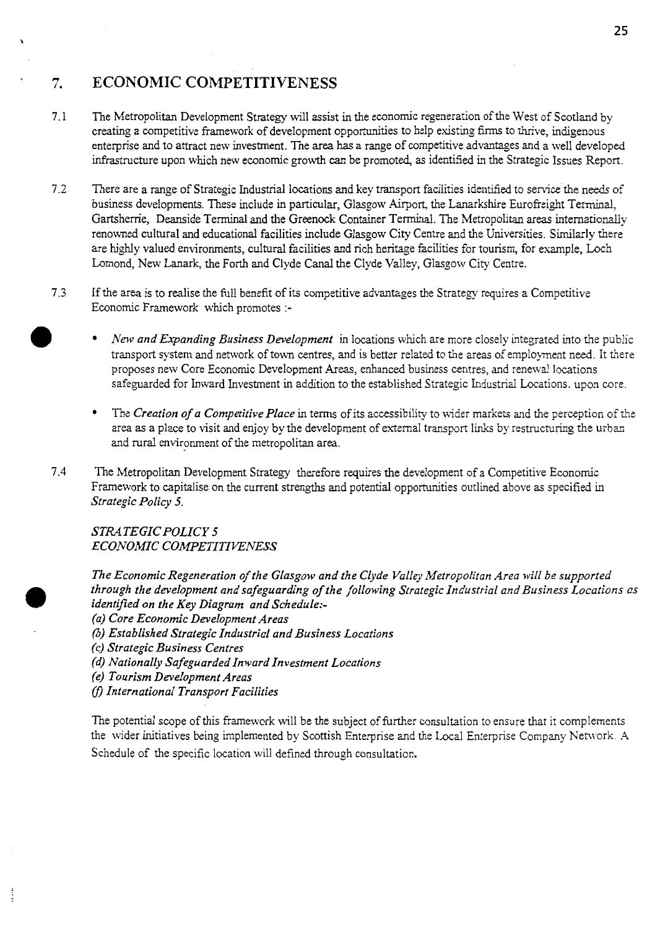#### ' **7. ECONOMIC COMPETITIVENESS**

- 7.1 The Metropolitan Development Strategy will assist in the economic regeneration of the West of Scotland by creating a competitive framework of development opportunities to help existing firms to thrive, indigenous enterprise and to attract new investment. The **area has** a range of competitive advantages and a well developed infrastructure upon which new economic growth *can* be promoted, as identified in the Strategic Issues Report.
- *7.2*  There are a range of Strategic Industrial locations and key transport facilities identified to service the needs of business developments. These include in particular, Glasgow Airport, the Lanarkshire Eurofieight Terminal, Gartsheme, Deanside Terminal and the Greenock Container Terminal. The Metropolitan areas internationally renowned cultural and educational facilities include Glasgow City Centre and the Universities. Similarly there are highly valued environments, cultural facilities and rich heritage facilities for tourism, for example, Loch Lomond, New Lanark, the Forth and Clyde Canal the Clyde Valley, Glasgow City Centre.
- 7.3 If the area is to realise the full benefit of its competitive advantages the Strategy requires a Competitive Economic Framework which promotes :-
	- *New and Expanding Business Development* in locations which are more closely integrated into the public transport system and network of town centres, and is better related to the areas of employment need. It there proposes new Core Economic Development *Areas,* enhanced business centres, and renewal locations safeguarded for Inward Investment in addition to the established Strategic Industrial Locations. upon core.
	- The *Creation of a Competitive Place* in terms of its accessibility to wider markets and the perception of the area as a place to visit and enjoy by the development of external transport links by restructuring the urban and rural environment of the metropolitan area.
- 7.4 The Metropolitan Development Strategy therefore requires the development of a Competitive Economic Framework to capitalise on the current strengths and potential opportunities outlined above **as** specified *in strategic Policy 5.*

*STRATEGIC POLICY 5 ECONOMIC COMPETITIENESS* 

*The Economic Regeneration of the Glasgow and the Clyde Valley Metropolitan Area will be supported through the development and safeguarding of the following Strategic Industrial and Business Locations as identified on the Key Diagram and Schedule:- (a) Core Economic Development Areas* 

- (3) *Established strategic Industrial and Business Locations*
- *(c) Strategic Business Centres*
- *(d) Nationally Safeguarded Inward Investment Locctions*
- *(e) Tourism Development Areas*
- fl *International Transport Facilities*

The potential scope of this framework will be the subject of further consultation to ensure that it complements the wider initiatives being implemented by Scottish Enterprise and the Local Enterprise Company Network. A Schedule of the specific location will defined through consultation.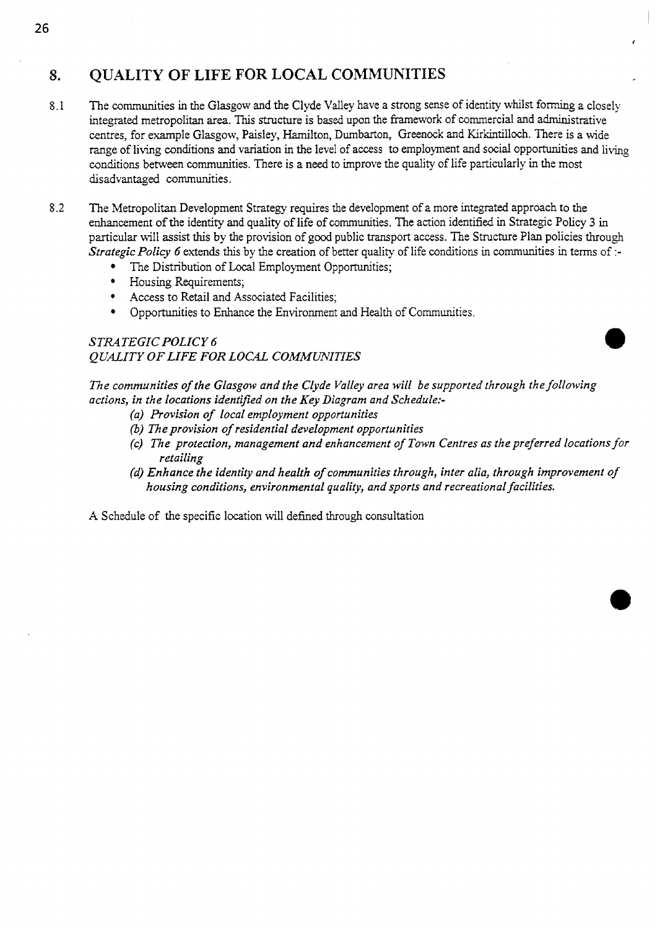# **8. QUALITY OF LIFE FOR LOCAL COMMUNITIES**

- 8.1 The communities in the Glasgow and the Clyde Valley have a strong sense of identity whilst forming a closely integrated metropolitan area. This structure is based upon the framework of commercial and administrative centres, for example Glasgow, Paisley, Hamilton, Dumbarton, Greenock and Kirkintilloch. There is a wide range of living conditions **and** variation in the level of access to employment and social opportunities and living conditions between communities. There is a **need** to improve the quality of life particularly *in* the most disadvantaged communities.
- **8.2** The Metropolitan Development Strategy requires the development of a more integrated approach to the enhancement of the identity **and** quality of life of communities. The action identified in Strategic Policy 3 in particular will assist this by the provision of god public transport access. The Structure Plan policies through *Strategic Policy 6* extends this by the creation of better quality of life conditions in communities in terms of :-
	- The Distribution of Local Employment Opportunities;
	- Housing Requirements;
	- $\bullet$ Access to Retail and Associated Facilities;
	- Opportunities to Enhance the Environment **and** Health of Communities.

### *STRATEGIC POLICY 6 QUALITY OF LIFE FOR LOCAL COMMiYNITIES*

*The communities of the Glasgow and the Clyde Valley area will be supported through the following actions, in the locations identified on the Key Diagram and Schedule:-* 

- *(a) Provision of local employment opportunities*
- (3) *The provision of residential development opportunities*
- *(e) TRe protection, management and enhancement of Town Centres as the preferred locations for retailing*
- *(d) Enhance the identity and health of communities through, inter alia, through improvement of housing conditions, environmental quality, and sports and recreational facilities.*

**A** Schedule of the specific location will defined through consultation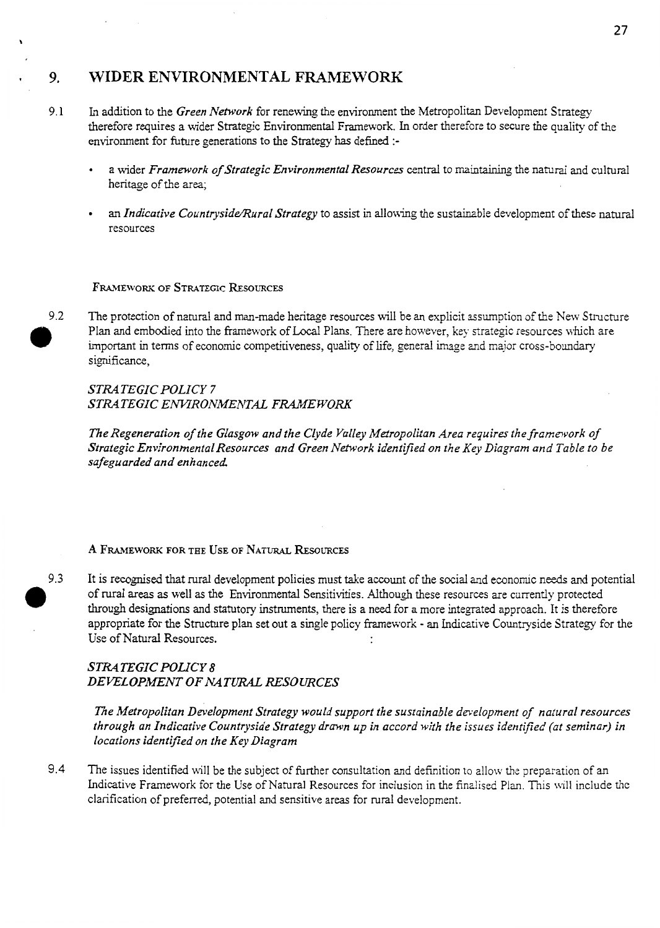# **9. WIDER ENVIRONMENTAL** FRAMEWORK

- 9.1 In addition to the *Green Network* for renewing the environment the Metropolitan Development Strategy therefore requires a wider Strategic Environmental Framework. In order therefore to secure the quality of the environment for future generations to the Strategy **has** defined :
	- a wider *Framework of Strategic Environmental Resources* central to maintaining the natural and cultural heritage of the area;
	- an *Indicative Countryside/Rural Strategy* to assist in allowing the sustainable development of these natural resources

### **FRAMEWORK OF STRATEGIC RESOURCES**

*9.2* The protection of natural and man-made heritage resources will be an explicit assumption of the New Structure Plan and embodied into the framework of Local Plans. There are however, key strategic resources which are important in terms of economic competitiveness, quality of life, general image znd major cross-boundary significance,

### *STRATEGIC POLICY 7 STRATEGIC EMRONMENTAL FRAMEWORK*

*The Regeneration of the Glasgow and the Clyde Valley Mefropolitan Area requires the framework of Strategic Environmental Resources and Green Network identified on the Key Diagram and Table to be safeguarded and enhanced* 

### A FRAMEWORK FOR THE USE OF NATURAL RESOURCES

9.3 It is recognised that rural development policies must take account of the social and economic needs and potential *0*  of rural *areas* as well **as** the Environmental Sensitivities. Although these resources are currently protected **through** designations and statutory instruments, there is a need for a more integrated approach. It is therefore appropriate for the Structure plan set out a single policy framework - **an** Indicative Countryside Strategy for the Use of Natural Resources.  $\ddot{\phantom{a}}$ 

### *STRATEGIC POLICY 8 DEVELOPMENT OFNATURAL RESOURCES*

*The Metropolitan Development Strategy would support the sustainable deelopment of natural resources through an Indicative Countryside Strategy drawn up in accord with the issues identified (at seminar) in locations identified on the Key Diagram* 

9.4 The issues identified uill be the subject of firther consultation and definition to zllow the preparation of an Indicative Framework for the Use of Natural Resources for inclusion in the finz!ised Plan. This will include the clarification of preferred, potential and sensitive areas for rural development.